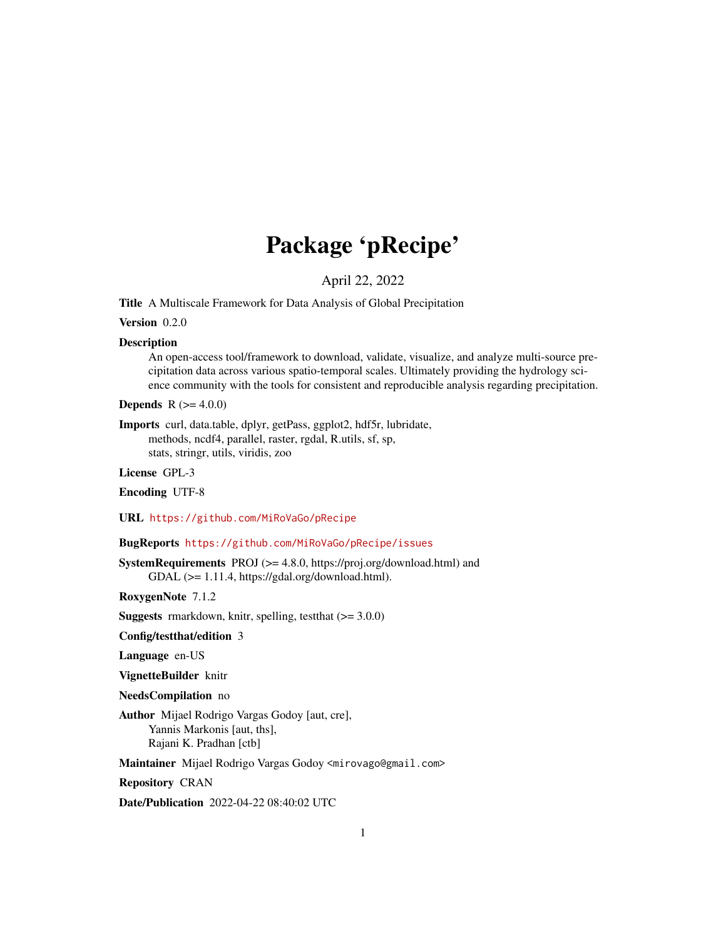# Package 'pRecipe'

April 22, 2022

Title A Multiscale Framework for Data Analysis of Global Precipitation

Version 0.2.0

#### Description

An open-access tool/framework to download, validate, visualize, and analyze multi-source precipitation data across various spatio-temporal scales. Ultimately providing the hydrology science community with the tools for consistent and reproducible analysis regarding precipitation.

**Depends**  $R (= 4.0.0)$ 

Imports curl, data.table, dplyr, getPass, ggplot2, hdf5r, lubridate, methods, ncdf4, parallel, raster, rgdal, R.utils, sf, sp, stats, stringr, utils, viridis, zoo

License GPL-3

Encoding UTF-8

URL <https://github.com/MiRoVaGo/pRecipe>

#### BugReports <https://github.com/MiRoVaGo/pRecipe/issues>

SystemRequirements PROJ (>= 4.8.0, https://proj.org/download.html) and GDAL (>= 1.11.4, https://gdal.org/download.html).

RoxygenNote 7.1.2

**Suggests** rmarkdown, knitr, spelling, test that  $(>= 3.0.0)$ 

Config/testthat/edition 3

Language en-US

VignetteBuilder knitr

NeedsCompilation no

Author Mijael Rodrigo Vargas Godoy [aut, cre], Yannis Markonis [aut, ths], Rajani K. Pradhan [ctb]

Maintainer Mijael Rodrigo Vargas Godoy <mirovago@gmail.com>

Repository CRAN

Date/Publication 2022-04-22 08:40:02 UTC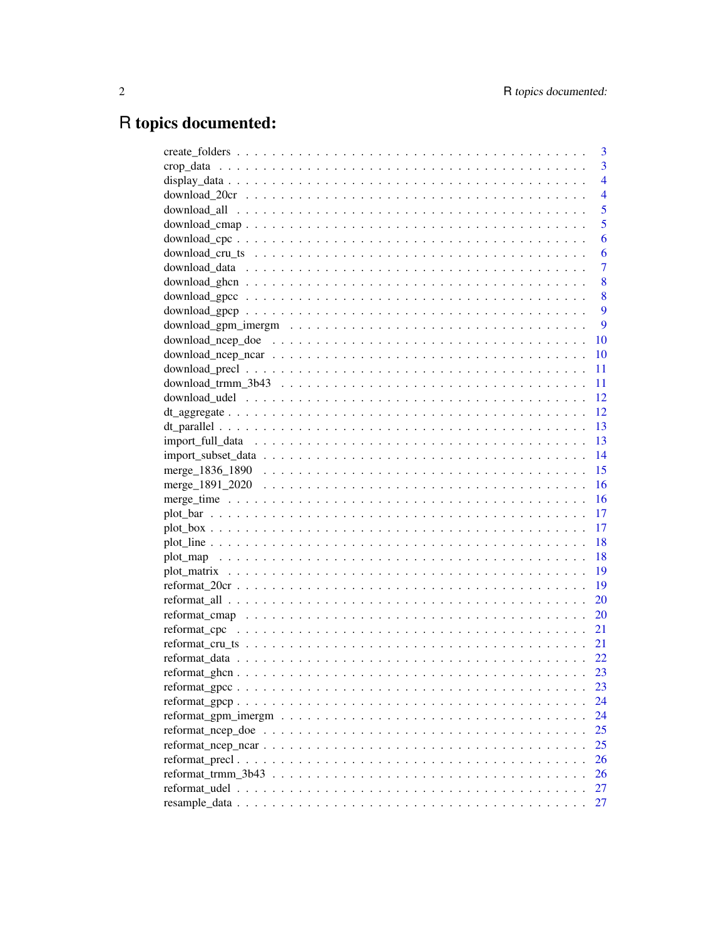## R topics documented:

|                                                                                                                  | 3              |
|------------------------------------------------------------------------------------------------------------------|----------------|
|                                                                                                                  | 3              |
|                                                                                                                  | $\overline{4}$ |
|                                                                                                                  | $\overline{4}$ |
|                                                                                                                  | 5              |
|                                                                                                                  | 5              |
|                                                                                                                  | 6              |
|                                                                                                                  | 6              |
|                                                                                                                  | $\overline{7}$ |
|                                                                                                                  | 8              |
|                                                                                                                  | 8              |
|                                                                                                                  | 9              |
|                                                                                                                  | 9              |
|                                                                                                                  | <b>10</b>      |
|                                                                                                                  | 10             |
|                                                                                                                  | 11             |
|                                                                                                                  | <sup>11</sup>  |
|                                                                                                                  |                |
|                                                                                                                  |                |
|                                                                                                                  | - 13           |
|                                                                                                                  |                |
|                                                                                                                  | - 14           |
|                                                                                                                  | 15             |
|                                                                                                                  | 16             |
|                                                                                                                  | 16             |
|                                                                                                                  | 17             |
|                                                                                                                  | 17             |
|                                                                                                                  | - 18           |
|                                                                                                                  |                |
|                                                                                                                  |                |
|                                                                                                                  |                |
|                                                                                                                  | 20             |
|                                                                                                                  | 20             |
|                                                                                                                  | 21             |
|                                                                                                                  | 21             |
|                                                                                                                  |                |
|                                                                                                                  | 23             |
|                                                                                                                  | 23             |
|                                                                                                                  | 24             |
| reformat_gpm_imergm $\ldots \ldots \ldots \ldots \ldots \ldots \ldots \ldots \ldots \ldots \ldots \ldots \ldots$ | 24             |
|                                                                                                                  | 25             |
|                                                                                                                  | 25             |
|                                                                                                                  | 26             |
|                                                                                                                  | 26             |
|                                                                                                                  | 27             |
|                                                                                                                  | 27             |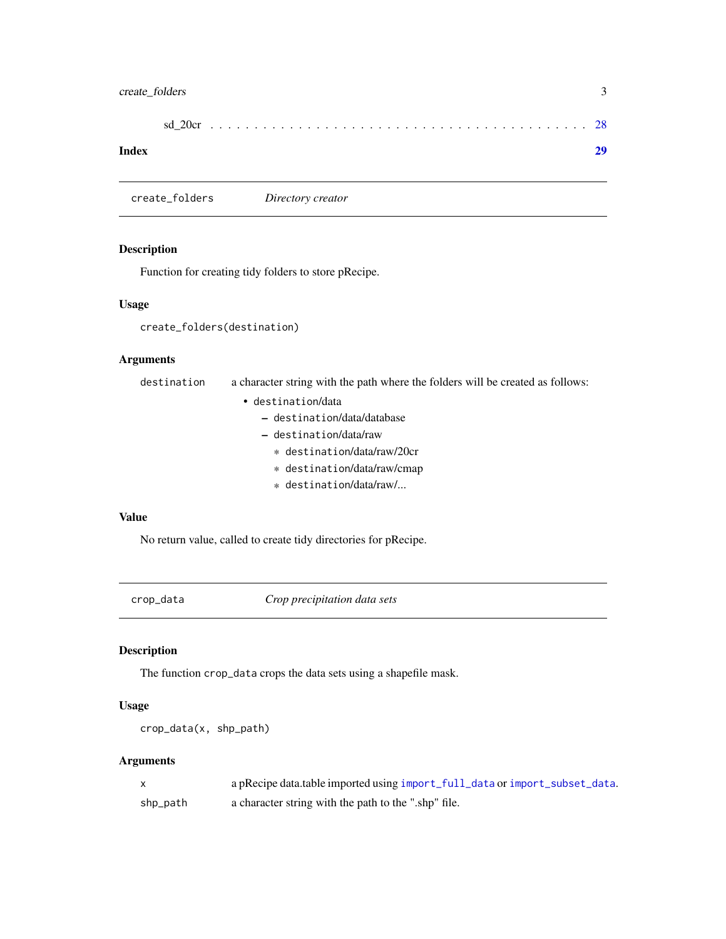## <span id="page-2-0"></span>create\_folders 3

#### **Index** [29](#page-28-0)

<span id="page-2-1"></span>create\_folders *Directory creator*

#### Description

Function for creating tidy folders to store pRecipe.

#### Usage

```
create_folders(destination)
```
## Arguments

destination a character string with the path where the folders will be created as follows:

- destination/data
	- destination/data/database
	- destination/data/raw
		- \* destination/data/raw/20cr
		- \* destination/data/raw/cmap
		- \* destination/data/raw/...

#### Value

No return value, called to create tidy directories for pRecipe.

crop\_data *Crop precipitation data sets*

#### Description

The function crop\_data crops the data sets using a shapefile mask.

#### Usage

```
crop_data(x, shp_path)
```
## Arguments

|          | a pRecipe data.table imported using import_full_data or import_subset_data. |
|----------|-----------------------------------------------------------------------------|
| shp_path | a character string with the path to the ".shp" file.                        |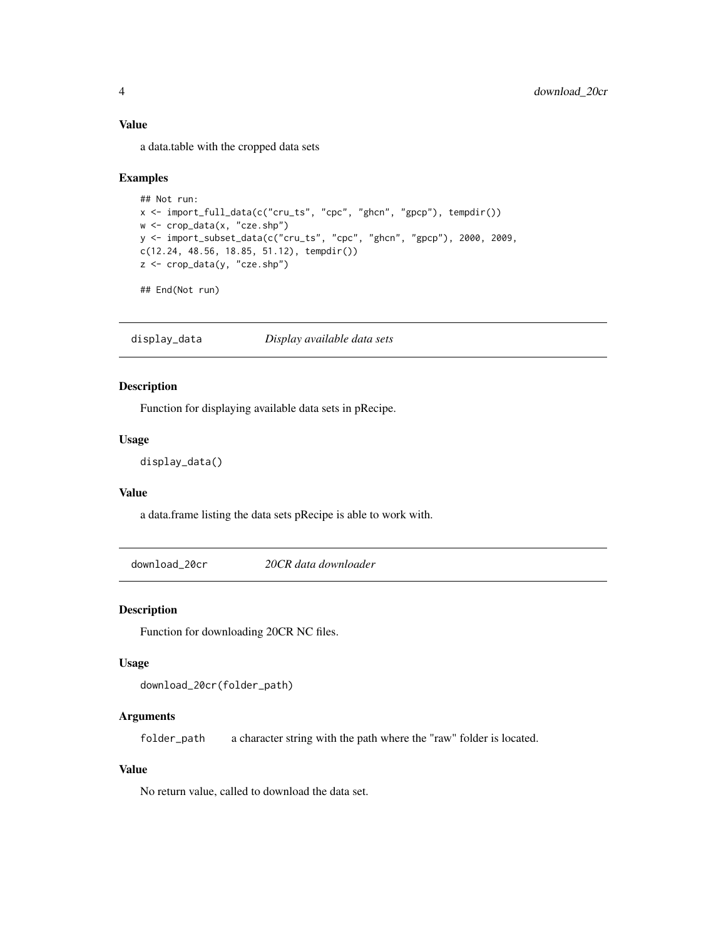#### Value

a data.table with the cropped data sets

#### Examples

```
## Not run:
x <- import_full_data(c("cru_ts", "cpc", "ghcn", "gpcp"), tempdir())
w <- crop_data(x, "cze.shp")
y <- import_subset_data(c("cru_ts", "cpc", "ghcn", "gpcp"), 2000, 2009,
c(12.24, 48.56, 18.85, 51.12), tempdir())
z <- crop_data(y, "cze.shp")
```

```
## End(Not run)
```
display\_data *Display available data sets*

#### Description

Function for displaying available data sets in pRecipe.

## Usage

display\_data()

## Value

a data.frame listing the data sets pRecipe is able to work with.

download\_20cr *20CR data downloader*

#### Description

Function for downloading 20CR NC files.

#### Usage

```
download_20cr(folder_path)
```
#### Arguments

folder\_path a character string with the path where the "raw" folder is located.

#### Value

<span id="page-3-0"></span>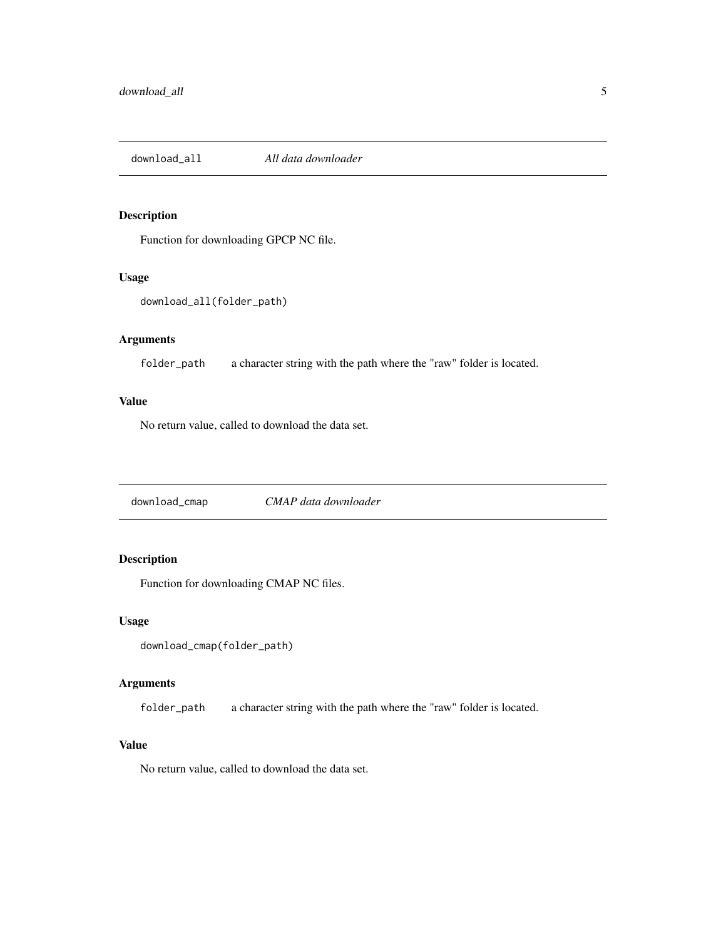<span id="page-4-0"></span>download\_all *All data downloader*

#### Description

Function for downloading GPCP NC file.

#### Usage

```
download_all(folder_path)
```
## Arguments

folder\_path a character string with the path where the "raw" folder is located.

#### Value

No return value, called to download the data set.

download\_cmap *CMAP data downloader*

## Description

Function for downloading CMAP NC files.

#### Usage

```
download_cmap(folder_path)
```
## Arguments

folder\_path a character string with the path where the "raw" folder is located.

## Value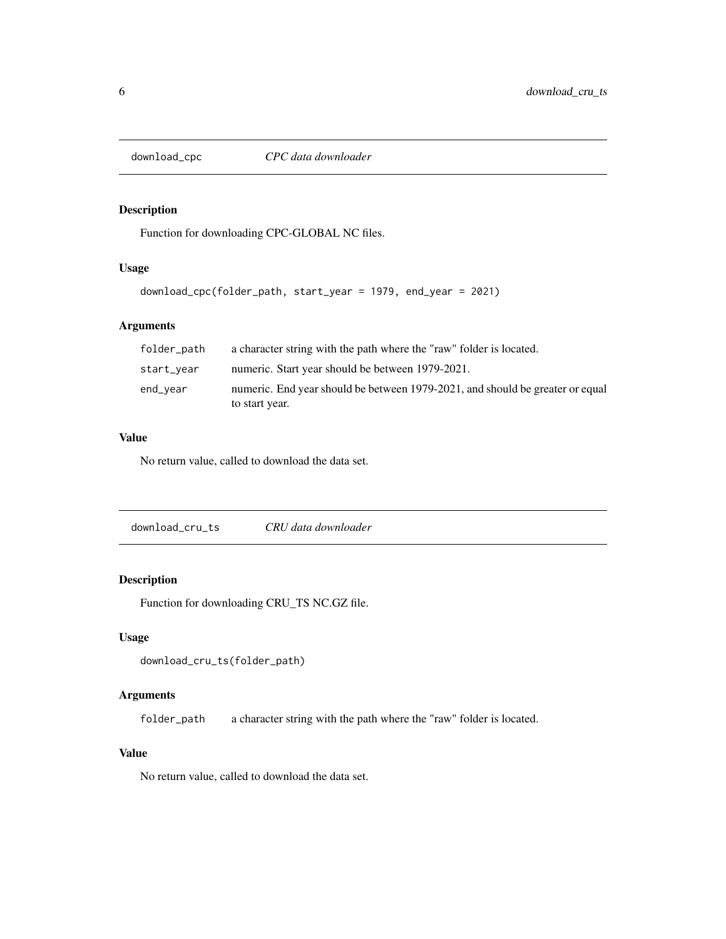<span id="page-5-0"></span>

Function for downloading CPC-GLOBAL NC files.

## Usage

```
download_cpc(folder_path, start_year = 1979, end_year = 2021)
```
## Arguments

| folder_path | a character string with the path where the "raw" folder is located.           |
|-------------|-------------------------------------------------------------------------------|
| start_vear  | numeric. Start year should be between 1979-2021.                              |
| end_year    | numeric. End year should be between 1979-2021, and should be greater or equal |
|             | to start year.                                                                |

## Value

No return value, called to download the data set.

download\_cru\_ts *CRU data downloader*

## Description

Function for downloading CRU\_TS NC.GZ file.

#### Usage

```
download_cru_ts(folder_path)
```
## Arguments

folder\_path a character string with the path where the "raw" folder is located.

## Value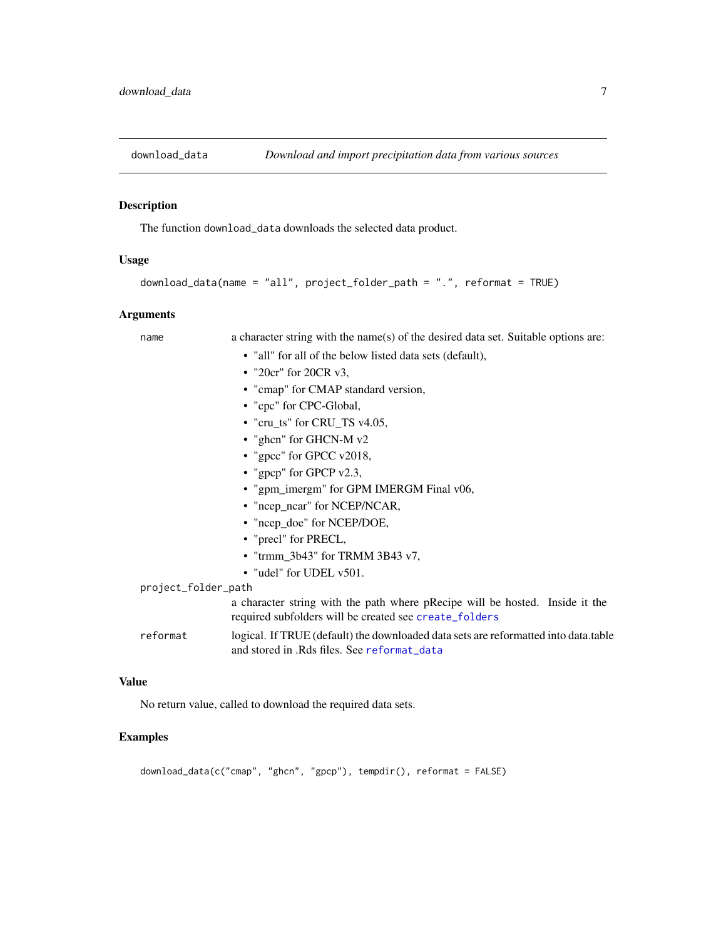<span id="page-6-0"></span>

The function download\_data downloads the selected data product.

#### Usage

```
download_data(name = "all", project_folder_path = ".", reformat = TRUE)
```
#### Arguments

name a character string with the name(s) of the desired data set. Suitable options are:

- "all" for all of the below listed data sets (default),
- "20cr" for 20CR v3,
- "cmap" for CMAP standard version,
- "cpc" for CPC-Global,
- "cru\_ts" for CRU\_TS v4.05,
- "ghcn" for GHCN-M v2
- "gpcc" for GPCC v2018,
- "gpcp" for GPCP v2.3,
- "gpm\_imergm" for GPM IMERGM Final v06,
- "ncep\_ncar" for NCEP/NCAR,
- "ncep\_doe" for NCEP/DOE,
- "precl" for PRECL,
- "trmm\_3b43" for TRMM 3B43 v7,
- "udel" for UDEL v501.

project\_folder\_path

a character string with the path where pRecipe will be hosted. Inside it the required subfolders will be created see [create\\_folders](#page-2-1)

reformat logical. If TRUE (default) the downloaded data sets are reformatted into data.table and stored in .Rds files. See [reformat\\_data](#page-21-1)

#### Value

No return value, called to download the required data sets.

## Examples

download\_data(c("cmap", "ghcn", "gpcp"), tempdir(), reformat = FALSE)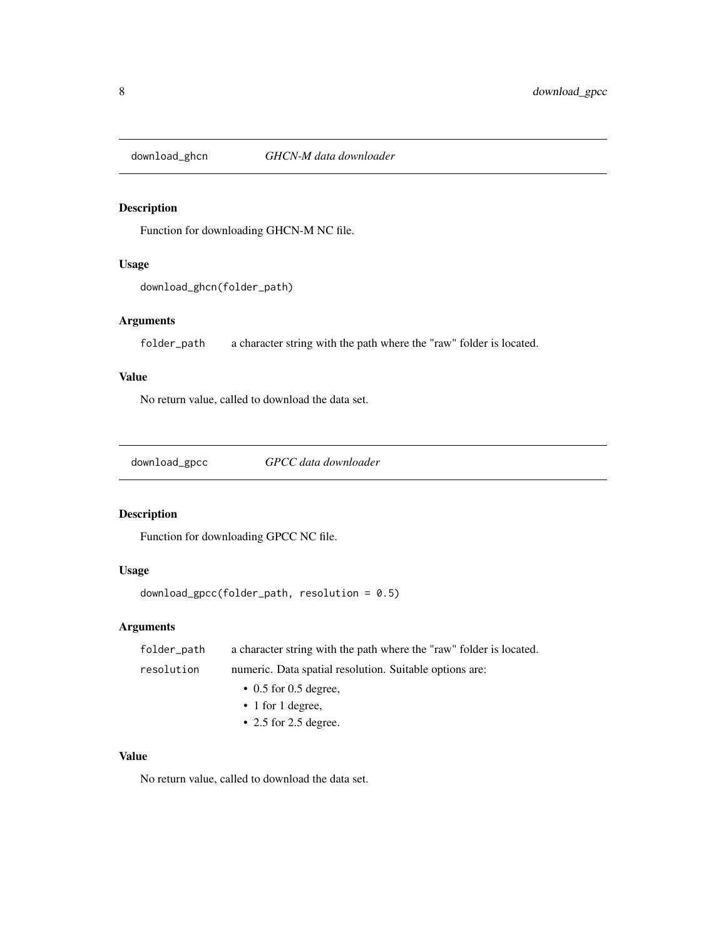<span id="page-7-0"></span>

Function for downloading GHCN-M NC file.

#### Usage

```
download_ghcn(folder_path)
```
## Arguments

folder\_path a character string with the path where the "raw" folder is located.

#### Value

No return value, called to download the data set.

download\_gpcc *GPCC data downloader*

## Description

Function for downloading GPCC NC file.

## Usage

```
download_gpcc(folder_path, resolution = 0.5)
```
## Arguments

| folder_path | a character string with the path where the "raw" folder is located. |
|-------------|---------------------------------------------------------------------|
| resolution  | numeric. Data spatial resolution. Suitable options are:             |
|             | $\cdot$ 0.5 for 0.5 degree,                                         |
|             | $\cdot$ 1 for 1 degree,                                             |
|             | $\cdot$ 2.5 for 2.5 degree.                                         |

## Value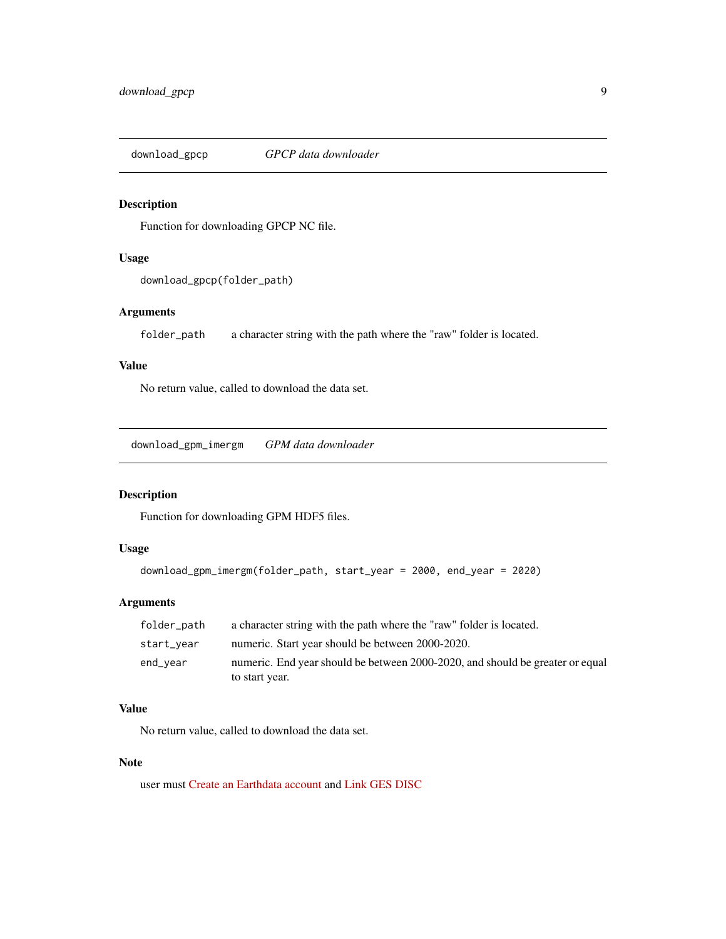<span id="page-8-0"></span>download\_gpcp *GPCP data downloader*

## Description

Function for downloading GPCP NC file.

#### Usage

download\_gpcp(folder\_path)

## Arguments

folder\_path a character string with the path where the "raw" folder is located.

#### Value

No return value, called to download the data set.

download\_gpm\_imergm *GPM data downloader*

#### Description

Function for downloading GPM HDF5 files.

## Usage

```
download_gpm_imergm(folder_path, start_year = 2000, end_year = 2020)
```
#### Arguments

| folder_path | a character string with the path where the "raw" folder is located.           |
|-------------|-------------------------------------------------------------------------------|
| start_year  | numeric. Start year should be between 2000-2020.                              |
| end_year    | numeric. End year should be between 2000-2020, and should be greater or equal |
|             | to start year.                                                                |

## Value

No return value, called to download the data set.

## Note

user must [Create an Earthdata account](https://urs.earthdata.nasa.gov) and [Link GES DISC](https://disc.gsfc.nasa.gov/earthdata-login)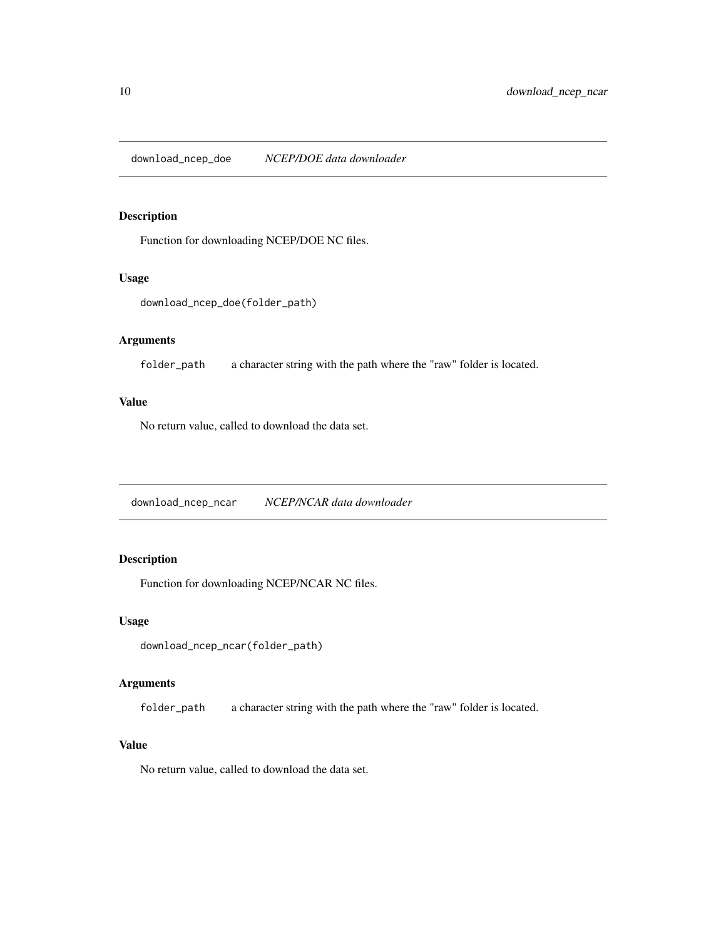<span id="page-9-0"></span>download\_ncep\_doe *NCEP/DOE data downloader*

#### Description

Function for downloading NCEP/DOE NC files.

#### Usage

```
download_ncep_doe(folder_path)
```
## Arguments

folder\_path a character string with the path where the "raw" folder is located.

#### Value

No return value, called to download the data set.

download\_ncep\_ncar *NCEP/NCAR data downloader*

## Description

Function for downloading NCEP/NCAR NC files.

## Usage

download\_ncep\_ncar(folder\_path)

## Arguments

folder\_path a character string with the path where the "raw" folder is located.

## Value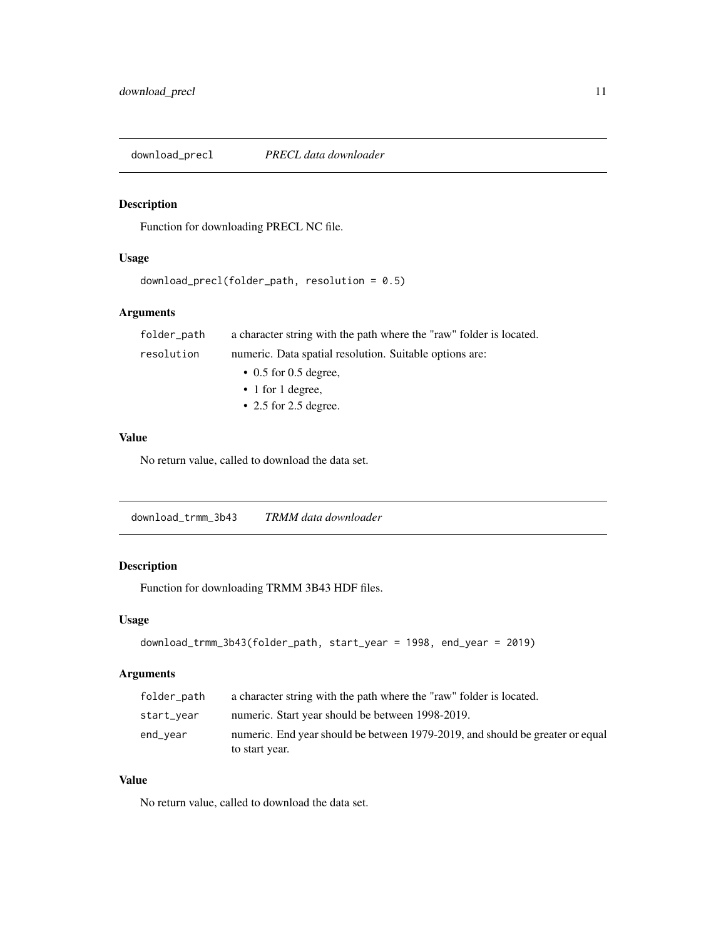<span id="page-10-0"></span>download\_precl *PRECL data downloader*

## Description

Function for downloading PRECL NC file.

#### Usage

```
download_precl(folder_path, resolution = 0.5)
```
## Arguments

| folder_path | a character string with the path where the "raw" folder is located. |
|-------------|---------------------------------------------------------------------|
| resolution  | numeric. Data spatial resolution. Suitable options are:             |
|             | $\cdot$ 0.5 for 0.5 degree.                                         |
|             | $\cdot$ 1 for 1 degree,                                             |
|             | $\cdot$ 2.5 for 2.5 degree.                                         |

## Value

No return value, called to download the data set.

download\_trmm\_3b43 *TRMM data downloader*

## Description

Function for downloading TRMM 3B43 HDF files.

#### Usage

```
download_trmm_3b43(folder_path, start_year = 1998, end_year = 2019)
```
## Arguments

| folder_path | a character string with the path where the "raw" folder is located.           |
|-------------|-------------------------------------------------------------------------------|
| start_vear  | numeric. Start year should be between 1998-2019.                              |
| end_vear    | numeric. End year should be between 1979-2019, and should be greater or equal |
|             | to start year.                                                                |

#### Value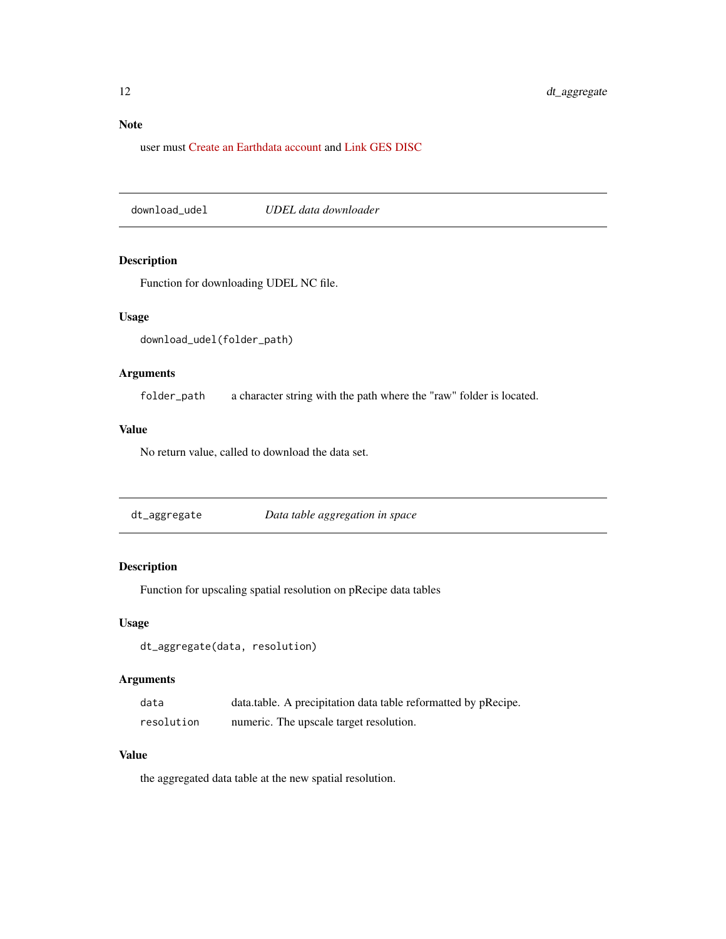## <span id="page-11-0"></span>Note

user must [Create an Earthdata account](https://urs.earthdata.nasa.gov) and [Link GES DISC](https://disc.gsfc.nasa.gov/earthdata-login)

download\_udel *UDEL data downloader*

## Description

Function for downloading UDEL NC file.

## Usage

```
download_udel(folder_path)
```
## Arguments

folder\_path a character string with the path where the "raw" folder is located.

#### Value

No return value, called to download the data set.

dt\_aggregate *Data table aggregation in space*

## Description

Function for upscaling spatial resolution on pRecipe data tables

#### Usage

```
dt_aggregate(data, resolution)
```
#### Arguments

| data       | data.table. A precipitation data table reformatted by pRecipe. |
|------------|----------------------------------------------------------------|
| resolution | numeric. The upscale target resolution.                        |

#### Value

the aggregated data table at the new spatial resolution.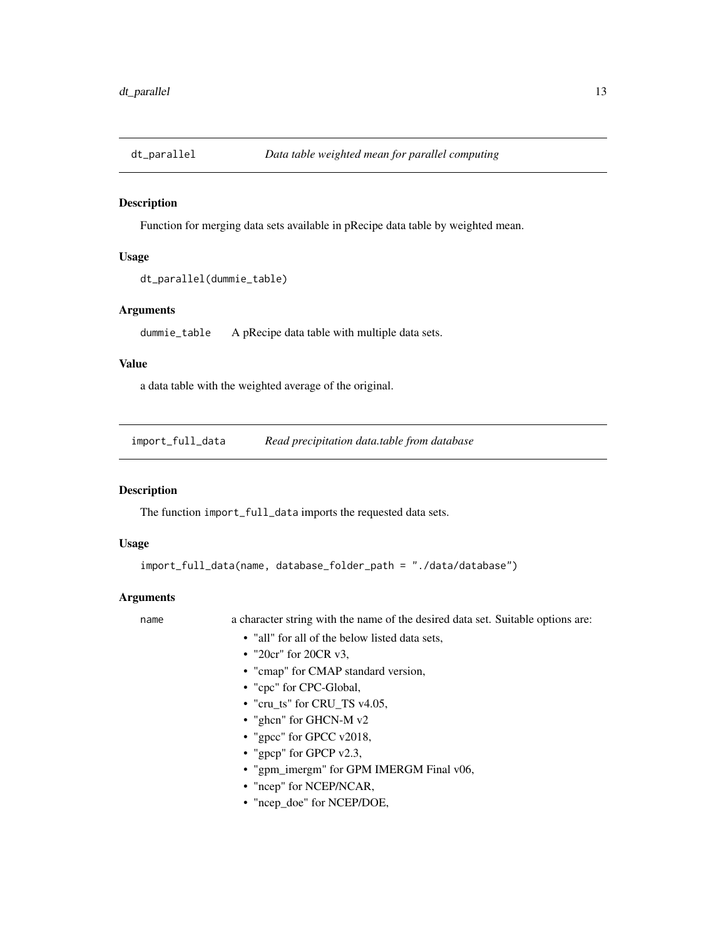<span id="page-12-0"></span>

Function for merging data sets available in pRecipe data table by weighted mean.

#### Usage

```
dt_parallel(dummie_table)
```
#### Arguments

dummie\_table A pRecipe data table with multiple data sets.

#### Value

a data table with the weighted average of the original.

<span id="page-12-1"></span>import\_full\_data *Read precipitation data.table from database*

## Description

The function import\_full\_data imports the requested data sets.

#### Usage

```
import_full_data(name, database_folder_path = "./data/database")
```
#### Arguments

name a character string with the name of the desired data set. Suitable options are:

- "all" for all of the below listed data sets,
- "20cr" for 20CR v3.
- "cmap" for CMAP standard version,
- "cpc" for CPC-Global,
- "cru\_ts" for CRU\_TS v4.05,
- "ghcn" for GHCN-M v2
- "gpcc" for GPCC v2018,
- "gpcp" for GPCP v2.3,
- "gpm\_imergm" for GPM IMERGM Final v06,
- "ncep" for NCEP/NCAR,
- "ncep\_doe" for NCEP/DOE,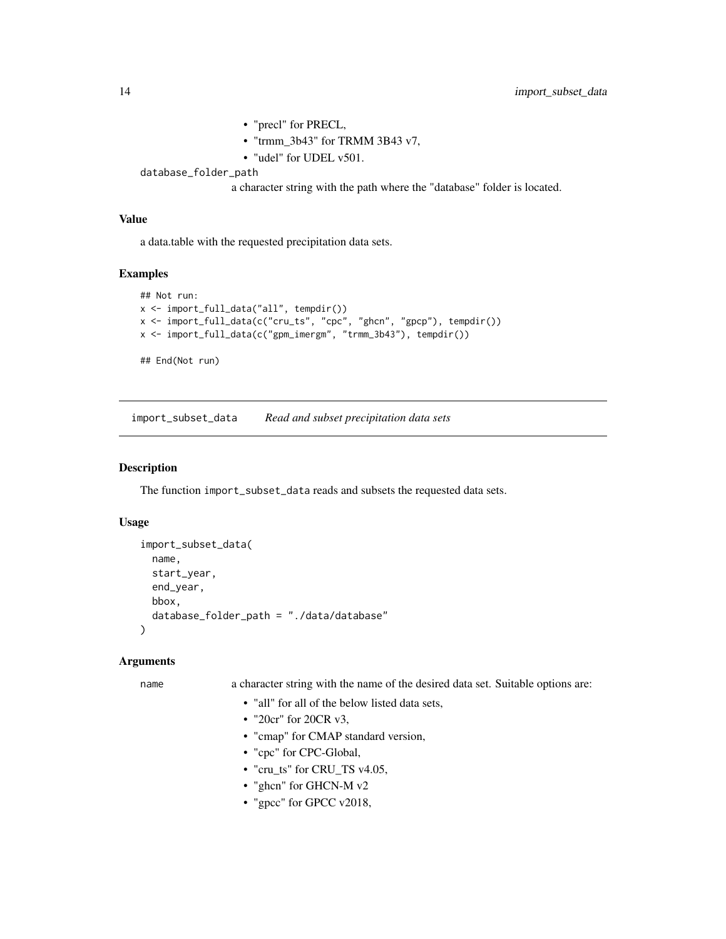```
• "precl" for PRECL,
• "trmm_3b43" for TRMM 3B43 v7,
• "udel" for UDEL v501.
```
<span id="page-13-0"></span>database\_folder\_path

a character string with the path where the "database" folder is located.

#### Value

a data.table with the requested precipitation data sets.

#### Examples

```
## Not run:
x <- import_full_data("all", tempdir())
x <- import_full_data(c("cru_ts", "cpc", "ghcn", "gpcp"), tempdir())
x <- import_full_data(c("gpm_imergm", "trmm_3b43"), tempdir())
## End(Not run)
```
<span id="page-13-1"></span>import\_subset\_data *Read and subset precipitation data sets*

#### Description

The function import\_subset\_data reads and subsets the requested data sets.

#### Usage

```
import_subset_data(
 name,
  start_year,
 end_year,
 bbox,
  database_folder_path = "./data/database"
\lambda
```
#### Arguments

name a character string with the name of the desired data set. Suitable options are:

- "all" for all of the below listed data sets,
- "20cr" for 20CR v3,
- "cmap" for CMAP standard version,
- "cpc" for CPC-Global,
- "cru\_ts" for CRU\_TS v4.05,
- "ghcn" for GHCN-M v2
- "gpcc" for GPCC v2018,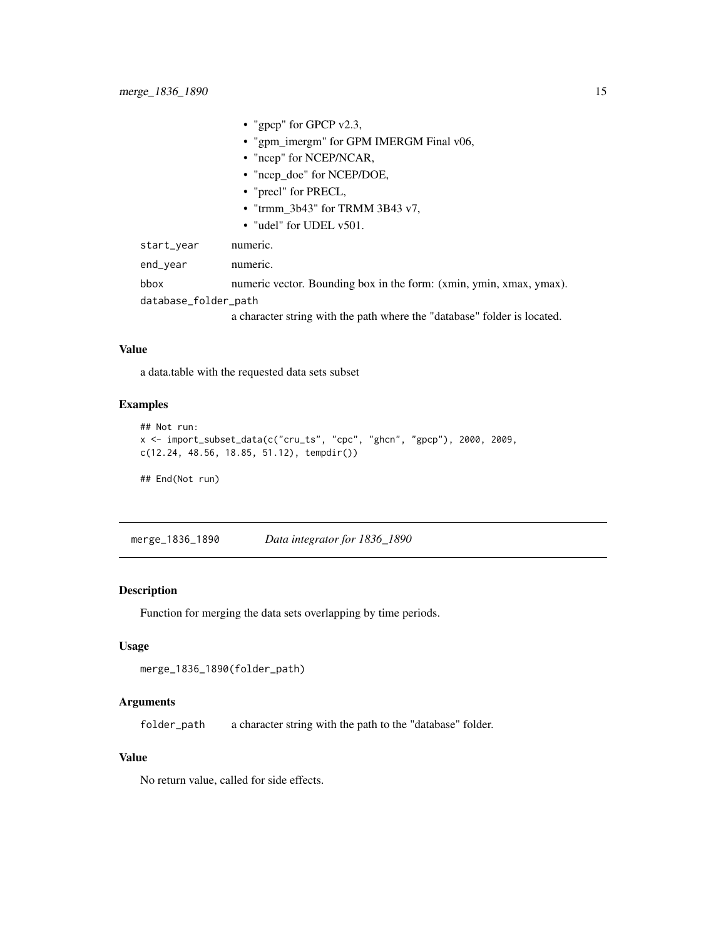<span id="page-14-0"></span>

|                      | • "gpcp" for GPCP $v2.3$ ,                                               |
|----------------------|--------------------------------------------------------------------------|
|                      | • "gpm_imergm" for GPM IMERGM Final v06,                                 |
|                      | • "ncep" for NCEP/NCAR,                                                  |
|                      | • "ncep_doe" for NCEP/DOE,                                               |
|                      | • "precl" for PRECL,                                                     |
|                      | • "trmm $3b43$ " for TRMM $3B43$ v7,                                     |
|                      | • "udel" for UDEL $v501$ .                                               |
| start_year           | numeric.                                                                 |
| end_year             | numeric.                                                                 |
| bbox                 | numeric vector. Bounding box in the form: (xmin, ymin, xmax, ymax).      |
| database_folder_path |                                                                          |
|                      | a character string with the path where the "database" folder is located. |

#### Value

a data.table with the requested data sets subset

#### Examples

```
## Not run:
x <- import_subset_data(c("cru_ts", "cpc", "ghcn", "gpcp"), 2000, 2009,
c(12.24, 48.56, 18.85, 51.12), tempdir())
## End(Not run)
```
merge\_1836\_1890 *Data integrator for 1836\_1890*

#### Description

Function for merging the data sets overlapping by time periods.

#### Usage

```
merge_1836_1890(folder_path)
```
## Arguments

folder\_path a character string with the path to the "database" folder.

#### Value

No return value, called for side effects.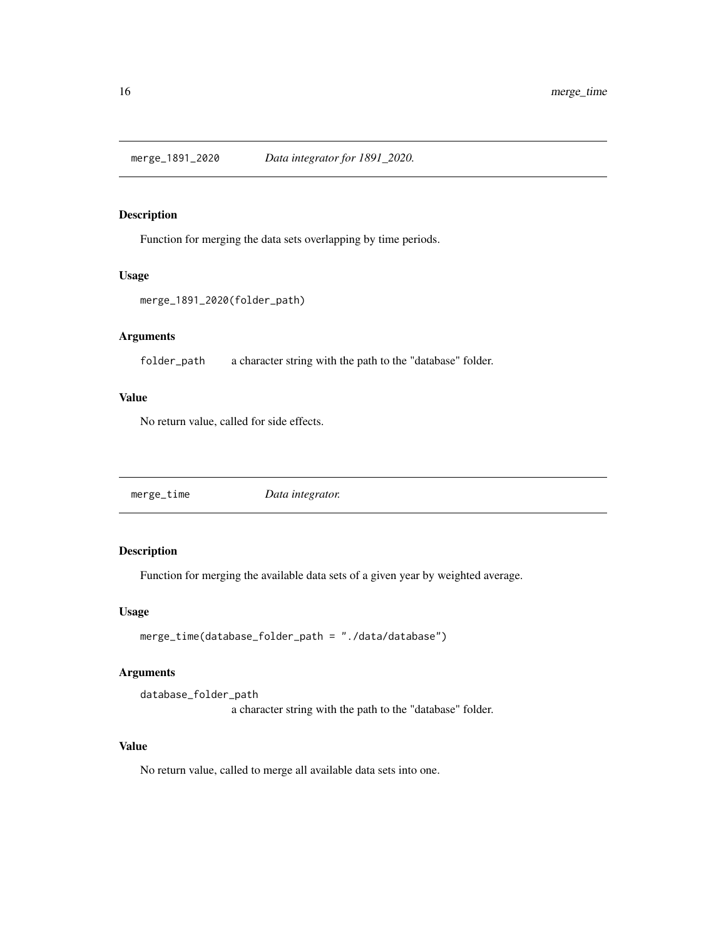<span id="page-15-0"></span>

Function for merging the data sets overlapping by time periods.

#### Usage

```
merge_1891_2020(folder_path)
```
## Arguments

folder\_path a character string with the path to the "database" folder.

#### Value

No return value, called for side effects.

merge\_time *Data integrator.*

## Description

Function for merging the available data sets of a given year by weighted average.

#### Usage

```
merge_time(database_folder_path = "./data/database")
```
#### Arguments

database\_folder\_path a character string with the path to the "database" folder.

#### Value

No return value, called to merge all available data sets into one.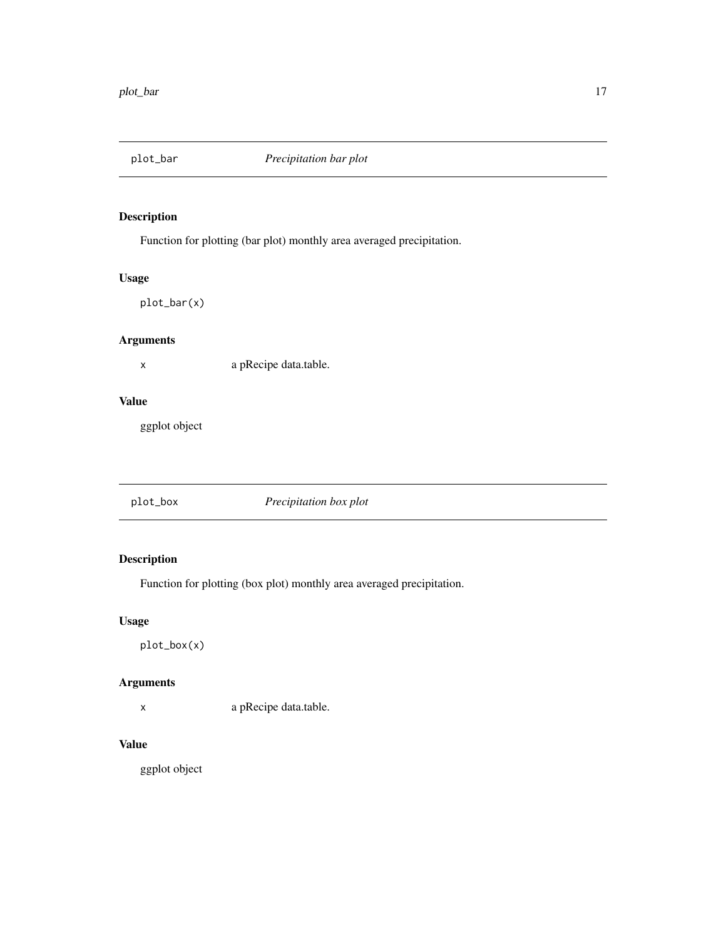<span id="page-16-0"></span>

Function for plotting (bar plot) monthly area averaged precipitation.

## Usage

plot\_bar(x)

## Arguments

x a pRecipe data.table.

#### Value

ggplot object

|--|

## Description

Function for plotting (box plot) monthly area averaged precipitation.

## Usage

plot\_box(x)

## Arguments

x a pRecipe data.table.

#### Value

ggplot object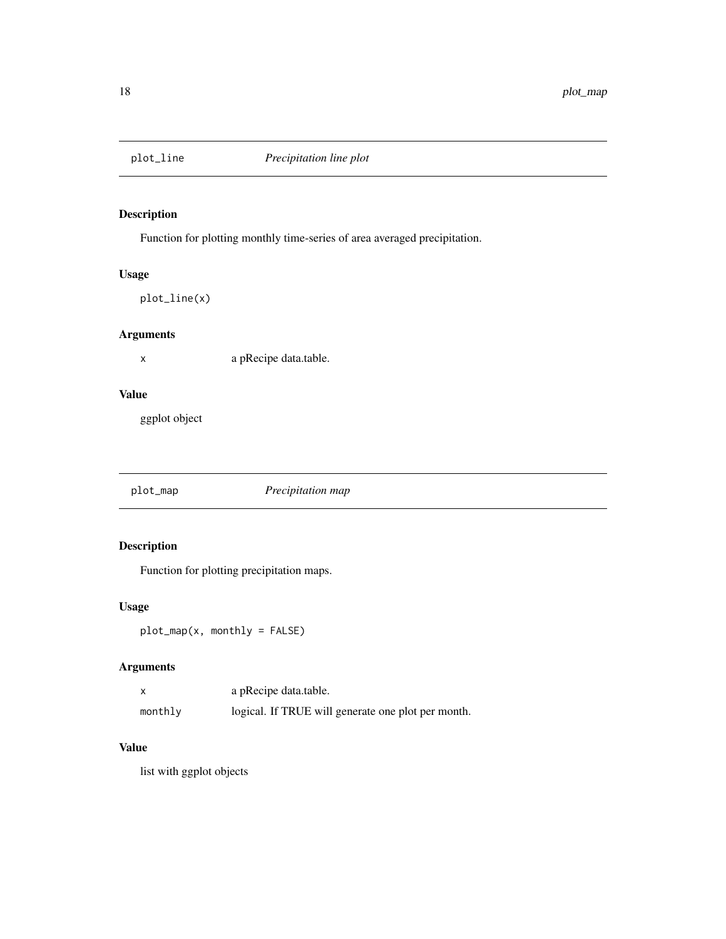<span id="page-17-0"></span>

Function for plotting monthly time-series of area averaged precipitation.

## Usage

plot\_line(x)

## Arguments

x a pRecipe data.table.

#### Value

ggplot object

plot\_map *Precipitation map*

## Description

Function for plotting precipitation maps.

## Usage

plot\_map(x, monthly = FALSE)

## Arguments

|         | a pRecipe data.table.                              |
|---------|----------------------------------------------------|
| monthly | logical. If TRUE will generate one plot per month. |

## Value

list with ggplot objects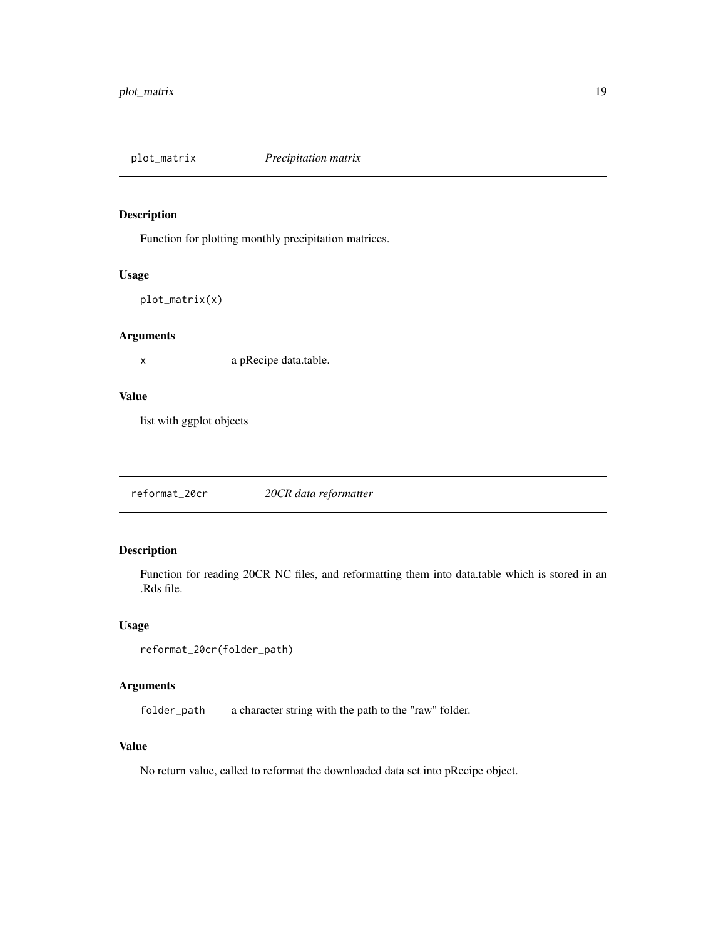<span id="page-18-0"></span>

Function for plotting monthly precipitation matrices.

#### Usage

```
plot_matrix(x)
```
## Arguments

x a pRecipe data.table.

#### Value

list with ggplot objects

reformat\_20cr *20CR data reformatter*

## Description

Function for reading 20CR NC files, and reformatting them into data.table which is stored in an .Rds file.

## Usage

```
reformat_20cr(folder_path)
```
## Arguments

folder\_path a character string with the path to the "raw" folder.

#### Value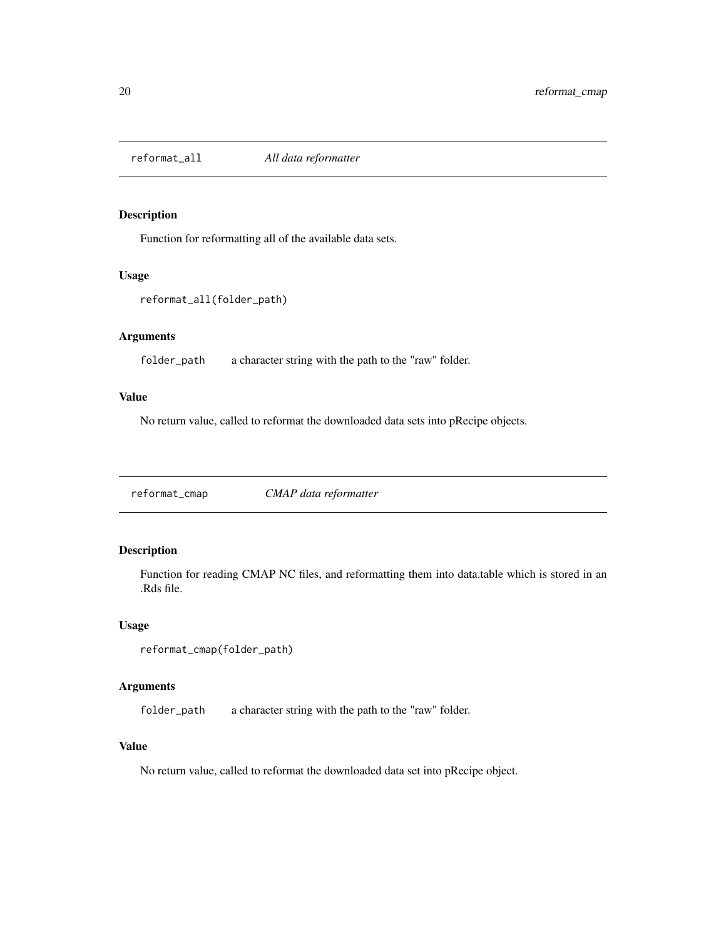<span id="page-19-0"></span>

Function for reformatting all of the available data sets.

#### Usage

```
reformat_all(folder_path)
```
## Arguments

folder\_path a character string with the path to the "raw" folder.

#### Value

No return value, called to reformat the downloaded data sets into pRecipe objects.

reformat\_cmap *CMAP data reformatter*

#### Description

Function for reading CMAP NC files, and reformatting them into data.table which is stored in an .Rds file.

#### Usage

```
reformat_cmap(folder_path)
```
## Arguments

folder\_path a character string with the path to the "raw" folder.

#### Value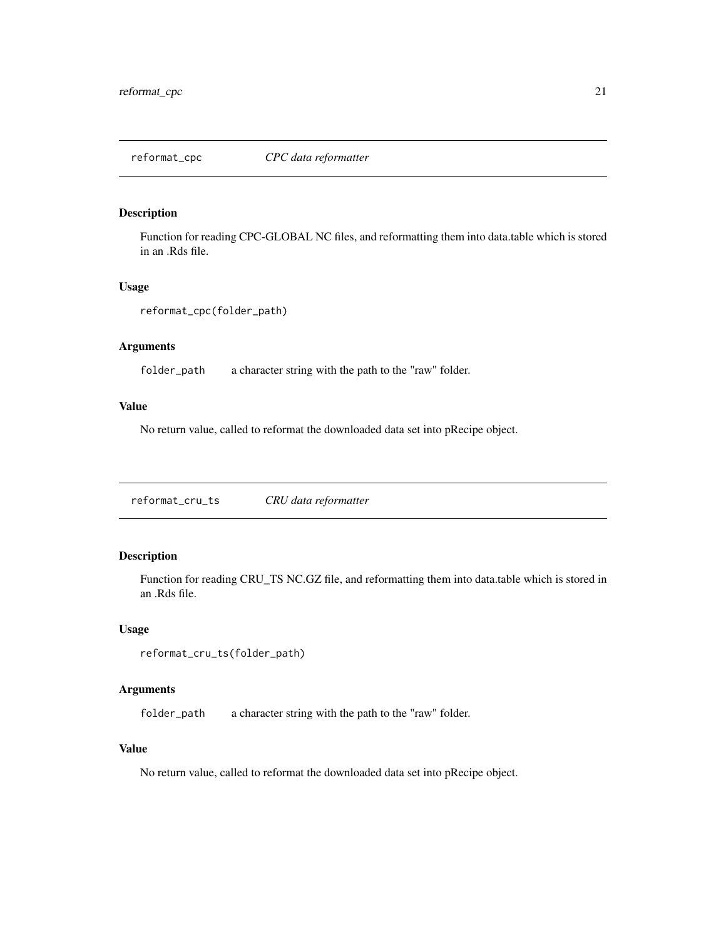<span id="page-20-0"></span>

Function for reading CPC-GLOBAL NC files, and reformatting them into data.table which is stored in an .Rds file.

#### Usage

```
reformat_cpc(folder_path)
```
## Arguments

folder\_path a character string with the path to the "raw" folder.

#### Value

No return value, called to reformat the downloaded data set into pRecipe object.

reformat\_cru\_ts *CRU data reformatter*

## Description

Function for reading CRU\_TS NC.GZ file, and reformatting them into data.table which is stored in an .Rds file.

#### Usage

```
reformat_cru_ts(folder_path)
```
#### Arguments

folder\_path a character string with the path to the "raw" folder.

#### Value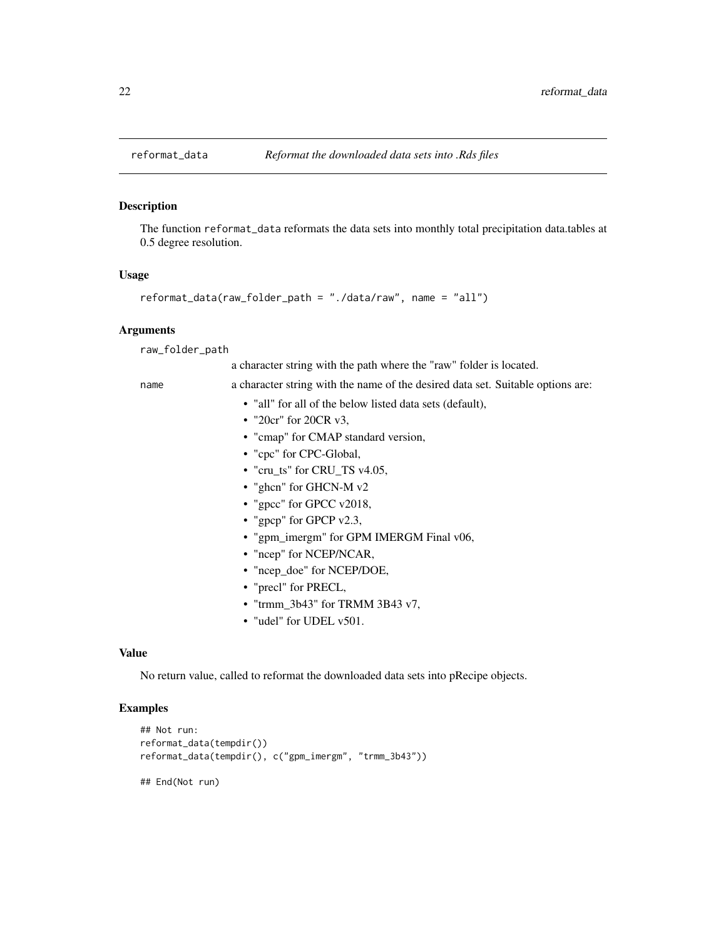<span id="page-21-1"></span><span id="page-21-0"></span>

The function reformat\_data reformats the data sets into monthly total precipitation data.tables at 0.5 degree resolution.

#### Usage

```
reformat_data(raw_folder_path = "./data/raw", name = "all")
```
#### Arguments

raw\_folder\_path

a character string with the path where the "raw" folder is located.

name a character string with the name of the desired data set. Suitable options are:

- "all" for all of the below listed data sets (default),
- "20cr" for 20CR v3,
- "cmap" for CMAP standard version,
- "cpc" for CPC-Global,
- "cru\_ts" for CRU\_TS v4.05,
- "ghcn" for GHCN-M v2
- "gpcc" for GPCC v2018,
- "gpcp" for GPCP v2.3,
- "gpm\_imergm" for GPM IMERGM Final v06,
- "ncep" for NCEP/NCAR,
- "ncep\_doe" for NCEP/DOE,
- "precl" for PRECL,
- "trmm\_3b43" for TRMM 3B43 v7,
- "udel" for UDEL v501.

#### Value

No return value, called to reformat the downloaded data sets into pRecipe objects.

#### Examples

```
## Not run:
reformat_data(tempdir())
reformat_data(tempdir(), c("gpm_imergm", "trmm_3b43"))
```
## End(Not run)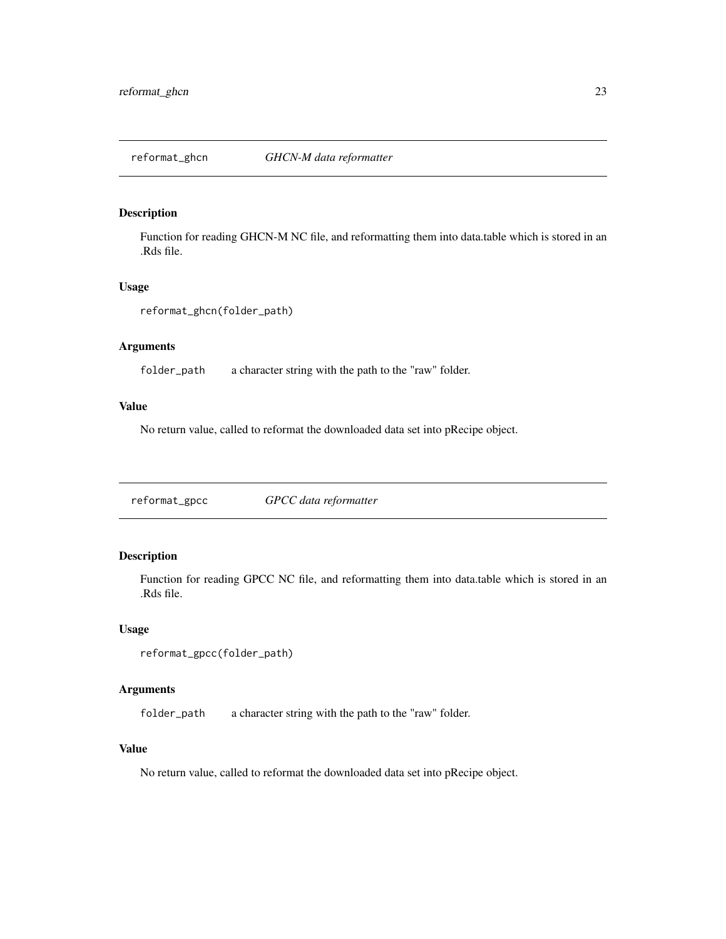<span id="page-22-0"></span>reformat\_ghcn *GHCN-M data reformatter*

## Description

Function for reading GHCN-M NC file, and reformatting them into data.table which is stored in an .Rds file.

#### Usage

```
reformat_ghcn(folder_path)
```
## Arguments

folder\_path a character string with the path to the "raw" folder.

#### Value

No return value, called to reformat the downloaded data set into pRecipe object.

reformat\_gpcc *GPCC data reformatter*

## Description

Function for reading GPCC NC file, and reformatting them into data.table which is stored in an .Rds file.

#### Usage

```
reformat_gpcc(folder_path)
```
#### Arguments

folder\_path a character string with the path to the "raw" folder.

#### Value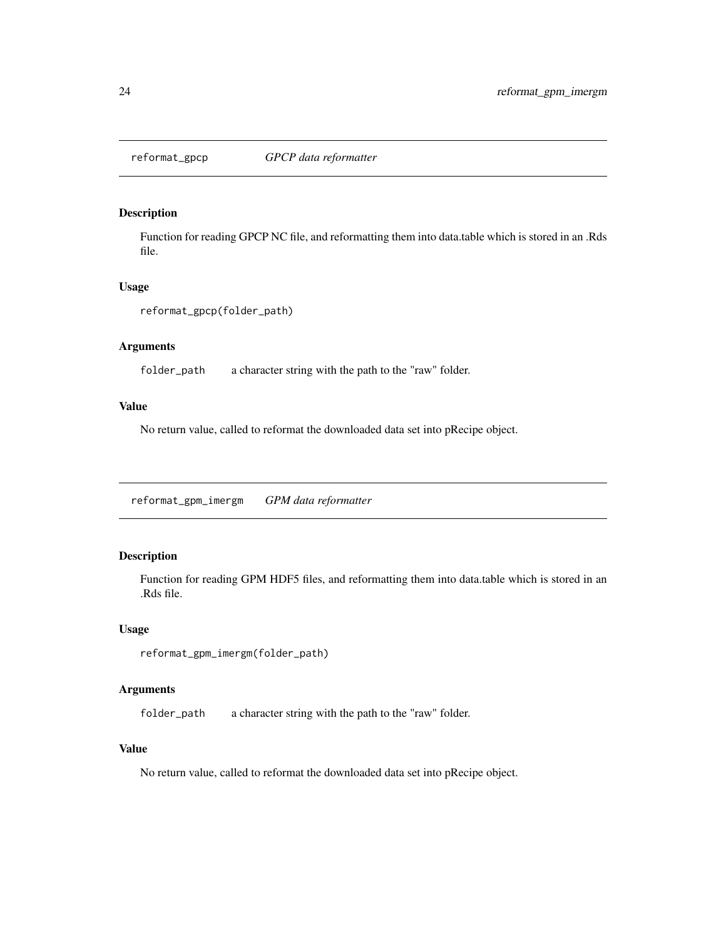<span id="page-23-0"></span>

Function for reading GPCP NC file, and reformatting them into data.table which is stored in an .Rds file.

#### Usage

```
reformat_gpcp(folder_path)
```
## Arguments

folder\_path a character string with the path to the "raw" folder.

#### Value

No return value, called to reformat the downloaded data set into pRecipe object.

reformat\_gpm\_imergm *GPM data reformatter*

## Description

Function for reading GPM HDF5 files, and reformatting them into data.table which is stored in an .Rds file.

#### Usage

```
reformat_gpm_imergm(folder_path)
```
#### Arguments

folder\_path a character string with the path to the "raw" folder.

#### Value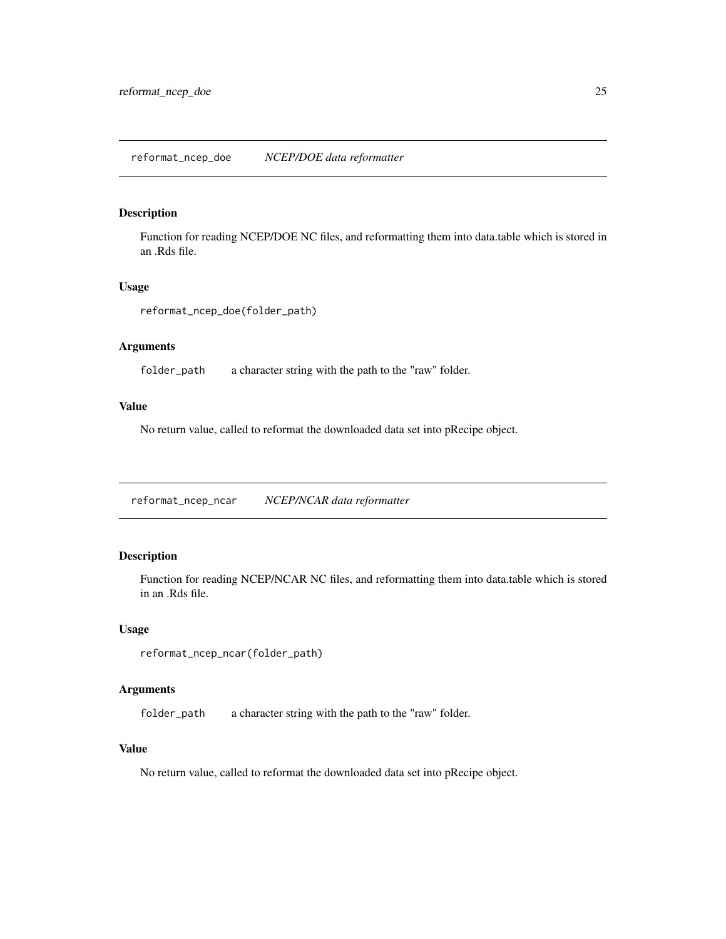<span id="page-24-0"></span>Function for reading NCEP/DOE NC files, and reformatting them into data.table which is stored in an .Rds file.

#### Usage

reformat\_ncep\_doe(folder\_path)

## Arguments

folder\_path a character string with the path to the "raw" folder.

#### Value

No return value, called to reformat the downloaded data set into pRecipe object.

reformat\_ncep\_ncar *NCEP/NCAR data reformatter*

#### Description

Function for reading NCEP/NCAR NC files, and reformatting them into data.table which is stored in an .Rds file.

#### Usage

```
reformat_ncep_ncar(folder_path)
```
#### Arguments

folder\_path a character string with the path to the "raw" folder.

#### Value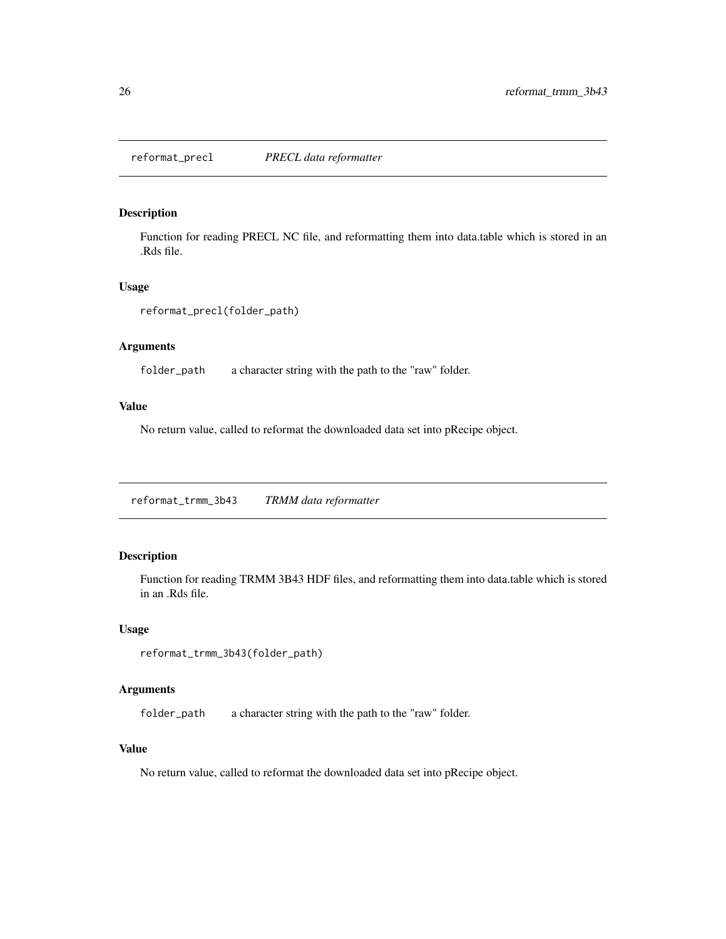<span id="page-25-0"></span>reformat\_precl *PRECL data reformatter*

#### Description

Function for reading PRECL NC file, and reformatting them into data.table which is stored in an .Rds file.

#### Usage

```
reformat_precl(folder_path)
```
## Arguments

folder\_path a character string with the path to the "raw" folder.

#### Value

No return value, called to reformat the downloaded data set into pRecipe object.

reformat\_trmm\_3b43 *TRMM data reformatter*

## Description

Function for reading TRMM 3B43 HDF files, and reformatting them into data.table which is stored in an .Rds file.

#### Usage

```
reformat_trmm_3b43(folder_path)
```
#### Arguments

folder\_path a character string with the path to the "raw" folder.

#### Value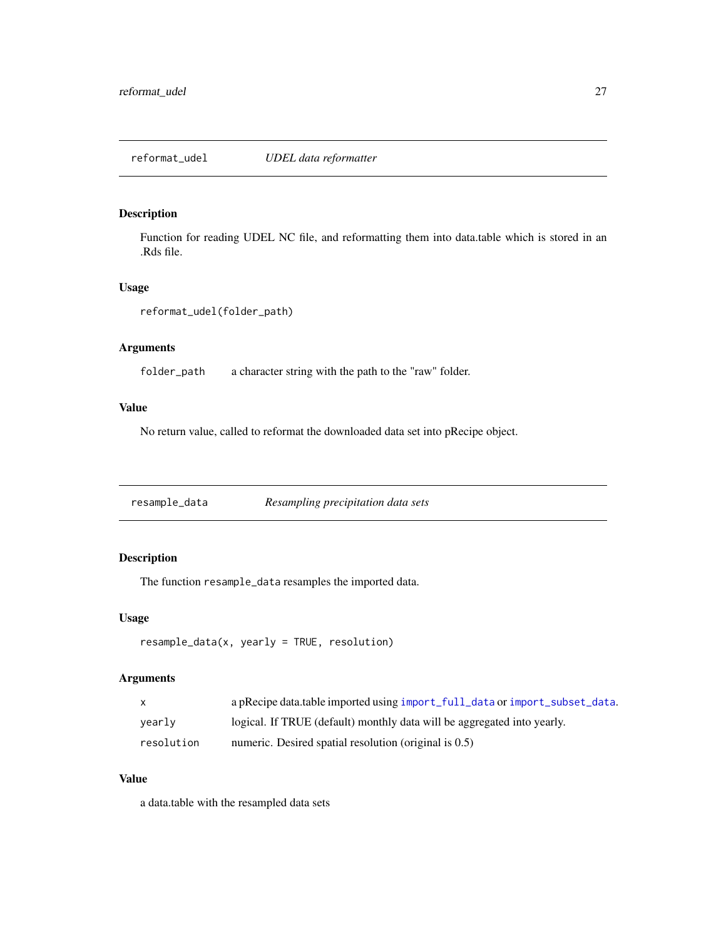<span id="page-26-0"></span>Function for reading UDEL NC file, and reformatting them into data.table which is stored in an .Rds file.

#### Usage

```
reformat_udel(folder_path)
```
## Arguments

folder\_path a character string with the path to the "raw" folder.

#### Value

No return value, called to reformat the downloaded data set into pRecipe object.

resample\_data *Resampling precipitation data sets*

## Description

The function resample\_data resamples the imported data.

#### Usage

```
resample_data(x, yearly = TRUE, resolution)
```
## Arguments

| $\mathsf{X}$ | a pRecipe data.table imported using import_full_data or import_subset_data. |
|--------------|-----------------------------------------------------------------------------|
| vearly       | logical. If TRUE (default) monthly data will be aggregated into yearly.     |
| resolution   | numeric. Desired spatial resolution (original is 0.5)                       |

#### Value

a data.table with the resampled data sets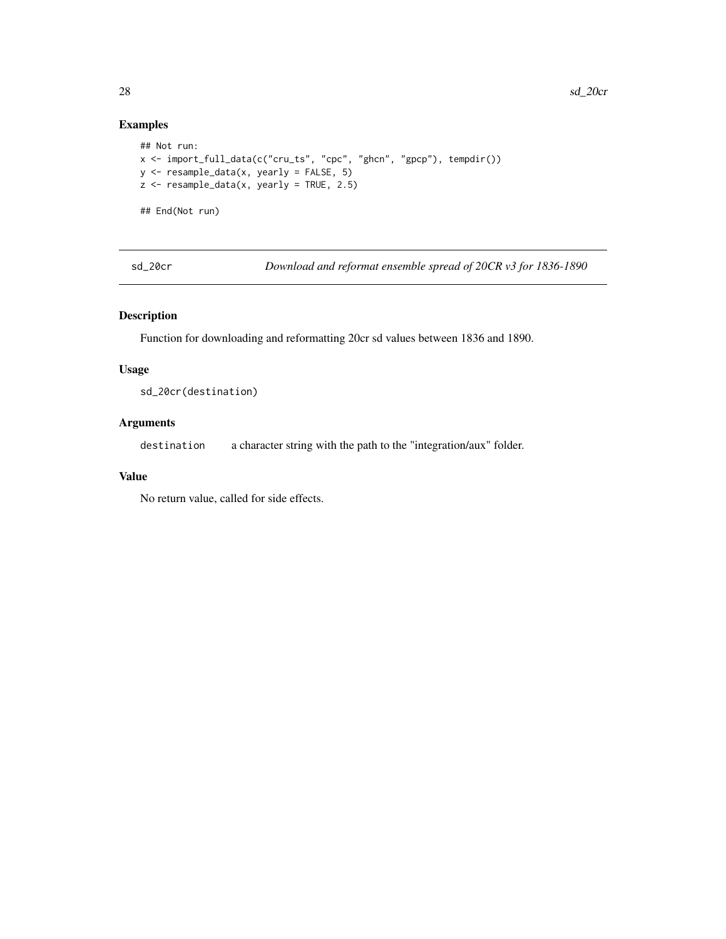## Examples

```
## Not run:
x <- import_full_data(c("cru_ts", "cpc", "ghcn", "gpcp"), tempdir())
y <- resample_data(x, yearly = FALSE, 5)
z <- resample_data(x, yearly = TRUE, 2.5)
## End(Not run)
```
sd\_20cr *Download and reformat ensemble spread of 20CR v3 for 1836-1890*

## Description

Function for downloading and reformatting 20cr sd values between 1836 and 1890.

#### Usage

sd\_20cr(destination)

## Arguments

destination a character string with the path to the "integration/aux" folder.

#### Value

No return value, called for side effects.

<span id="page-27-0"></span>